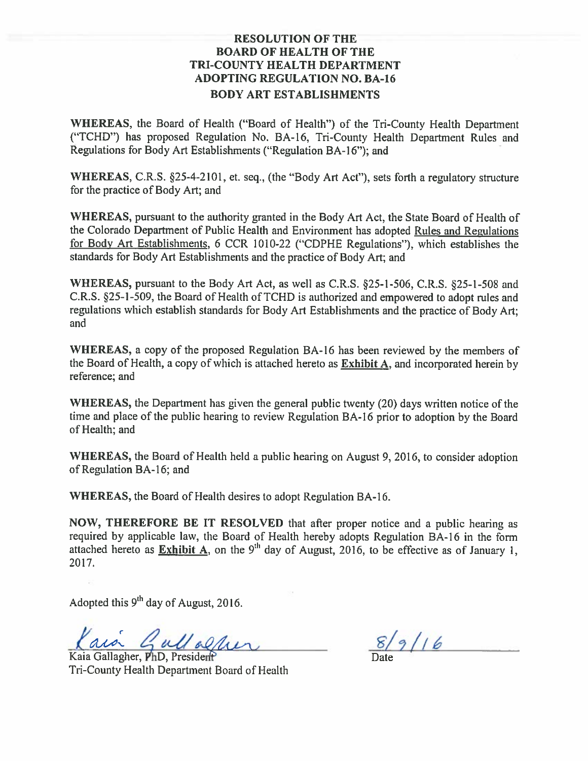# **RESOLUTION OF THE BOARD OF HEALTH OF THE** TRI-COUNTY HEALTH DEPARTMENT **ADOPTING REGULATION NO. BA-16 BODY ART ESTABLISHMENTS**

WHEREAS, the Board of Health ("Board of Health") of the Tri-County Health Department ("TCHD") has proposed Regulation No. BA-16, Tri-County Health Department Rules and Regulations for Body Art Establishments ("Regulation BA-16"); and

WHEREAS, C.R.S. §25-4-2101, et. seq., (the "Body Art Act"), sets forth a regulatory structure for the practice of Body Art; and

WHEREAS, pursuant to the authority granted in the Body Art Act, the State Board of Health of the Colorado Department of Public Health and Environment has adopted Rules and Regulations for Body Art Establishments, 6 CCR 1010-22 ("CDPHE Regulations"), which establishes the standards for Body Art Establishments and the practice of Body Art; and

WHEREAS, pursuant to the Body Art Act, as well as C.R.S. §25-1-506, C.R.S. §25-1-508 and C.R.S. §25-1-509, the Board of Health of TCHD is authorized and empowered to adopt rules and regulations which establish standards for Body Art Establishments and the practice of Body Art: and

WHEREAS, a copy of the proposed Regulation BA-16 has been reviewed by the members of the Board of Health, a copy of which is attached hereto as Exhibit A, and incorporated herein by reference; and

WHEREAS, the Department has given the general public twenty (20) days written notice of the time and place of the public hearing to review Regulation BA-16 prior to adoption by the Board of Health; and

WHEREAS, the Board of Health held a public hearing on August 9, 2016, to consider adoption of Regulation BA-16; and

WHEREAS, the Board of Health desires to adopt Regulation BA-16.

NOW, THEREFORE BE IT RESOLVED that after proper notice and a public hearing as required by applicable law, the Board of Health hereby adopts Regulation BA-16 in the form attached hereto as **Exhibit A**, on the 9<sup>th</sup> day of August, 2016, to be effective as of January 1, 2017.

Adopted this 9<sup>th</sup> day of August, 2016.

aia Gullacher

Kaia Gallagher, PhD, President Tri-County Health Department Board of Health

 $8/9/16$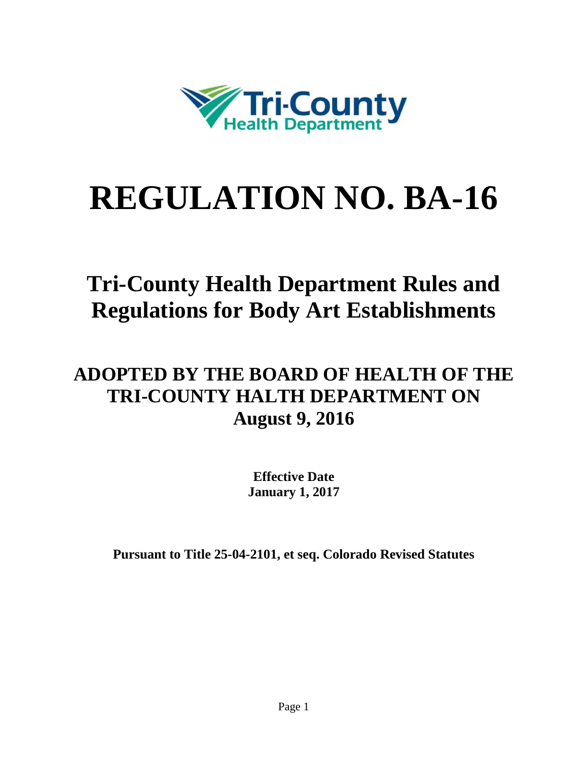

# **REGULATION NO. BA-16**

# **Tri-County Health Department Rules and Regulations for Body Art Establishments**

# **ADOPTED BY THE BOARD OF HEALTH OF THE TRI-COUNTY HALTH DEPARTMENT ON August 9, 2016**

**Effective Date January 1, 2017**

**Pursuant to Title 25-04-2101, et seq. Colorado Revised Statutes**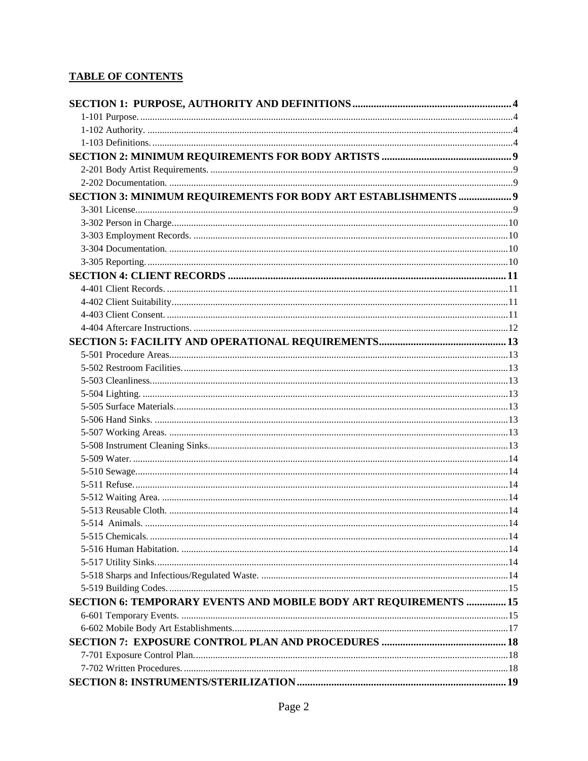# **TABLE OF CONTENTS**

| SECTION 3: MINIMUM REQUIREMENTS FOR BODY ART ESTABLISHMENTS  9   |  |
|------------------------------------------------------------------|--|
|                                                                  |  |
|                                                                  |  |
|                                                                  |  |
|                                                                  |  |
|                                                                  |  |
|                                                                  |  |
|                                                                  |  |
|                                                                  |  |
|                                                                  |  |
|                                                                  |  |
|                                                                  |  |
|                                                                  |  |
|                                                                  |  |
|                                                                  |  |
|                                                                  |  |
|                                                                  |  |
|                                                                  |  |
|                                                                  |  |
|                                                                  |  |
|                                                                  |  |
|                                                                  |  |
|                                                                  |  |
|                                                                  |  |
|                                                                  |  |
|                                                                  |  |
|                                                                  |  |
|                                                                  |  |
|                                                                  |  |
|                                                                  |  |
|                                                                  |  |
| SECTION 6: TEMPORARY EVENTS AND MOBILE BODY ART REQUIREMENTS  15 |  |
|                                                                  |  |
|                                                                  |  |
|                                                                  |  |
|                                                                  |  |
|                                                                  |  |
|                                                                  |  |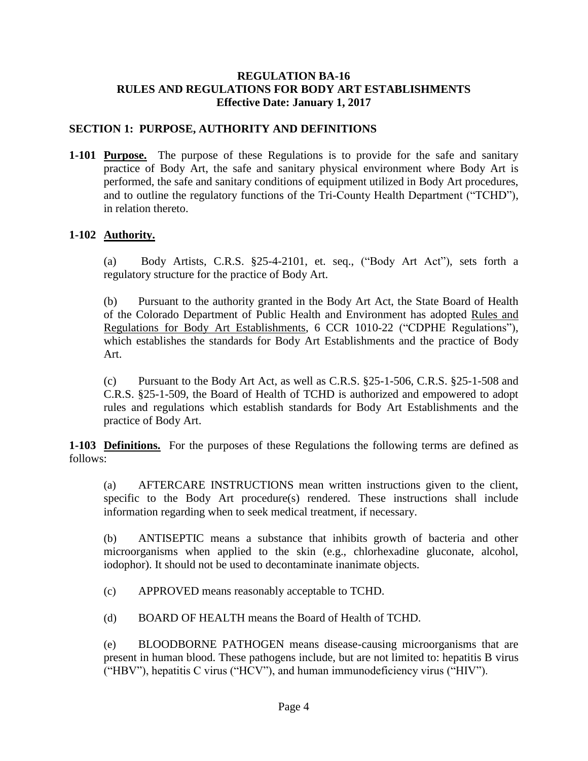#### **REGULATION BA-16 RULES AND REGULATIONS FOR BODY ART ESTABLISHMENTS Effective Date: January 1, 2017**

# <span id="page-4-0"></span>**SECTION 1: PURPOSE, AUTHORITY AND DEFINITIONS**

<span id="page-4-1"></span>**1-101 Purpose.** The purpose of these Regulations is to provide for the safe and sanitary practice of Body Art, the safe and sanitary physical environment where Body Art is performed, the safe and sanitary conditions of equipment utilized in Body Art procedures, and to outline the regulatory functions of the Tri-County Health Department ("TCHD"), in relation thereto.

# <span id="page-4-2"></span>**1-102 Authority.**

(a) Body Artists, C.R.S. §25-4-2101, et. seq., ("Body Art Act"), sets forth a regulatory structure for the practice of Body Art.

(b) Pursuant to the authority granted in the Body Art Act, the State Board of Health of the Colorado Department of Public Health and Environment has adopted Rules and Regulations for Body Art Establishments, 6 CCR 1010-22 ("CDPHE Regulations"), which establishes the standards for Body Art Establishments and the practice of Body Art.

(c) Pursuant to the Body Art Act, as well as C.R.S. §25-1-506, C.R.S. §25-1-508 and C.R.S. §25-1-509, the Board of Health of TCHD is authorized and empowered to adopt rules and regulations which establish standards for Body Art Establishments and the practice of Body Art.

<span id="page-4-3"></span>**1-103 Definitions.** For the purposes of these Regulations the following terms are defined as follows:

(a) AFTERCARE INSTRUCTIONS mean written instructions given to the client, specific to the Body Art procedure(s) rendered. These instructions shall include information regarding when to seek medical treatment, if necessary.

(b) ANTISEPTIC means a substance that inhibits growth of bacteria and other microorganisms when applied to the skin (e.g., chlorhexadine gluconate, alcohol, iodophor). It should not be used to decontaminate inanimate objects.

(c) APPROVED means reasonably acceptable to TCHD.

(d) BOARD OF HEALTH means the Board of Health of TCHD.

(e) BLOODBORNE PATHOGEN means disease-causing microorganisms that are present in human blood. These pathogens include, but are not limited to: hepatitis B virus ("HBV"), hepatitis C virus ("HCV"), and human immunodeficiency virus ("HIV").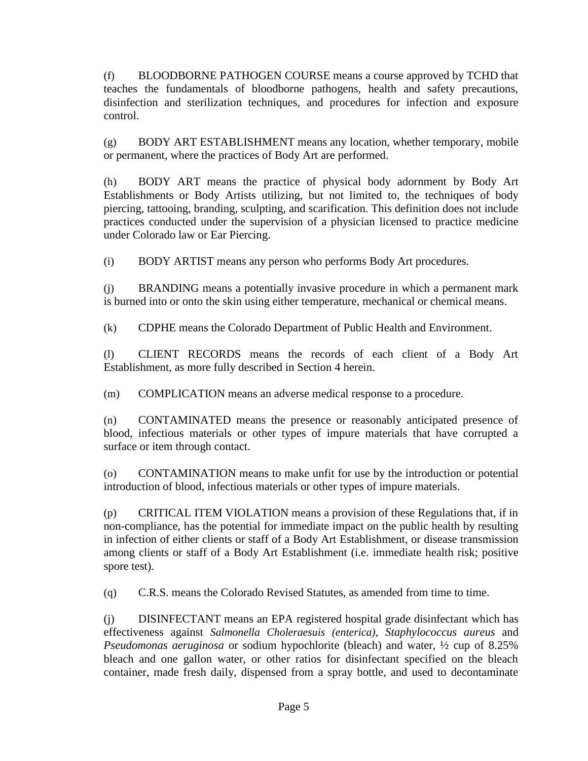(f) BLOODBORNE PATHOGEN COURSE means a course approved by TCHD that teaches the fundamentals of bloodborne pathogens, health and safety precautions, disinfection and sterilization techniques, and procedures for infection and exposure control.

(g) BODY ART ESTABLISHMENT means any location, whether temporary, mobile or permanent, where the practices of Body Art are performed.

(h) BODY ART means the practice of physical body adornment by Body Art Establishments or Body Artists utilizing, but not limited to, the techniques of body piercing, tattooing, branding, sculpting, and scarification. This definition does not include practices conducted under the supervision of a physician licensed to practice medicine under Colorado law or Ear Piercing.

(i) BODY ARTIST means any person who performs Body Art procedures.

(j) BRANDING means a potentially invasive procedure in which a permanent mark is burned into or onto the skin using either temperature, mechanical or chemical means.

(k) CDPHE means the Colorado Department of Public Health and Environment.

(l) CLIENT RECORDS means the records of each client of a Body Art Establishment, as more fully described in Section 4 herein.

(m) COMPLICATION means an adverse medical response to a procedure.

(n) CONTAMINATED means the presence or reasonably anticipated presence of blood, infectious materials or other types of impure materials that have corrupted a surface or item through contact.

(o) CONTAMINATION means to make unfit for use by the introduction or potential introduction of blood, infectious materials or other types of impure materials.

(p) CRITICAL ITEM VIOLATION means a provision of these Regulations that, if in non-compliance, has the potential for immediate impact on the public health by resulting in infection of either clients or staff of a Body Art Establishment, or disease transmission among clients or staff of a Body Art Establishment (i.e. immediate health risk; positive spore test).

(q) C.R.S. means the Colorado Revised Statutes, as amended from time to time.

(j) DISINFECTANT means an EPA registered hospital grade disinfectant which has effectiveness against *Salmonella Choleraesuis (enterica)*, *Staphylococcus aureus* and *Pseudomonas aeruginosa* or sodium hypochlorite (bleach) and water, ½ cup of 8.25% bleach and one gallon water, or other ratios for disinfectant specified on the bleach container, made fresh daily, dispensed from a spray bottle, and used to decontaminate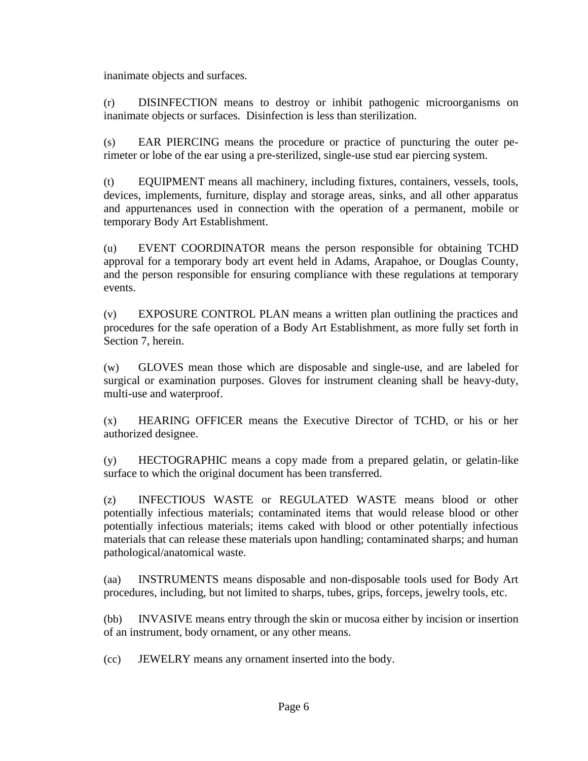inanimate objects and surfaces.

(r) DISINFECTION means to destroy or inhibit pathogenic microorganisms on inanimate objects or surfaces. Disinfection is less than sterilization.

(s) EAR PIERCING means the procedure or practice of puncturing the outer perimeter or lobe of the ear using a pre-sterilized, single-use stud ear piercing system.

(t) EQUIPMENT means all machinery, including fixtures, containers, vessels, tools, devices, implements, furniture, display and storage areas, sinks, and all other apparatus and appurtenances used in connection with the operation of a permanent, mobile or temporary Body Art Establishment.

(u) EVENT COORDINATOR means the person responsible for obtaining TCHD approval for a temporary body art event held in Adams, Arapahoe, or Douglas County, and the person responsible for ensuring compliance with these regulations at temporary events.

(v) EXPOSURE CONTROL PLAN means a written plan outlining the practices and procedures for the safe operation of a Body Art Establishment, as more fully set forth in Section 7, herein.

(w) GLOVES mean those which are disposable and single-use, and are labeled for surgical or examination purposes. Gloves for instrument cleaning shall be heavy-duty, multi-use and waterproof.

(x) HEARING OFFICER means the Executive Director of TCHD, or his or her authorized designee.

(y) HECTOGRAPHIC means a copy made from a prepared gelatin, or gelatin-like surface to which the original document has been transferred.

(z) INFECTIOUS WASTE or REGULATED WASTE means blood or other potentially infectious materials; contaminated items that would release blood or other potentially infectious materials; items caked with blood or other potentially infectious materials that can release these materials upon handling; contaminated sharps; and human pathological/anatomical waste.

(aa) INSTRUMENTS means disposable and non-disposable tools used for Body Art procedures, including, but not limited to sharps, tubes, grips, forceps, jewelry tools, etc.

(bb) INVASIVE means entry through the skin or mucosa either by incision or insertion of an instrument, body ornament, or any other means.

(cc) JEWELRY means any ornament inserted into the body.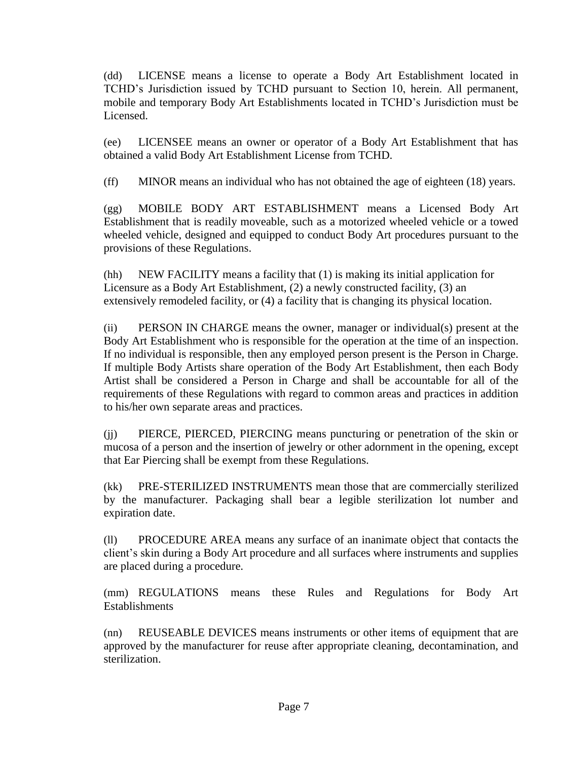(dd) LICENSE means a license to operate a Body Art Establishment located in TCHD's Jurisdiction issued by TCHD pursuant to Section 10, herein. All permanent, mobile and temporary Body Art Establishments located in TCHD's Jurisdiction must be Licensed.

(ee) LICENSEE means an owner or operator of a Body Art Establishment that has obtained a valid Body Art Establishment License from TCHD.

(ff) MINOR means an individual who has not obtained the age of eighteen (18) years.

(gg) MOBILE BODY ART ESTABLISHMENT means a Licensed Body Art Establishment that is readily moveable, such as a motorized wheeled vehicle or a towed wheeled vehicle, designed and equipped to conduct Body Art procedures pursuant to the provisions of these Regulations.

(hh) NEW FACILITY means a facility that (1) is making its initial application for Licensure as a Body Art Establishment, (2) a newly constructed facility, (3) an extensively remodeled facility, or (4) a facility that is changing its physical location.

(ii) PERSON IN CHARGE means the owner, manager or individual(s) present at the Body Art Establishment who is responsible for the operation at the time of an inspection. If no individual is responsible, then any employed person present is the Person in Charge. If multiple Body Artists share operation of the Body Art Establishment, then each Body Artist shall be considered a Person in Charge and shall be accountable for all of the requirements of these Regulations with regard to common areas and practices in addition to his/her own separate areas and practices.

(jj) PIERCE, PIERCED, PIERCING means puncturing or penetration of the skin or mucosa of a person and the insertion of jewelry or other adornment in the opening, except that Ear Piercing shall be exempt from these Regulations.

(kk) PRE-STERILIZED INSTRUMENTS mean those that are commercially sterilized by the manufacturer. Packaging shall bear a legible sterilization lot number and expiration date.

(ll) PROCEDURE AREA means any surface of an inanimate object that contacts the client's skin during a Body Art procedure and all surfaces where instruments and supplies are placed during a procedure.

(mm) REGULATIONS means these Rules and Regulations for Body Art **Establishments** 

(nn) REUSEABLE DEVICES means instruments or other items of equipment that are approved by the manufacturer for reuse after appropriate cleaning, decontamination, and sterilization.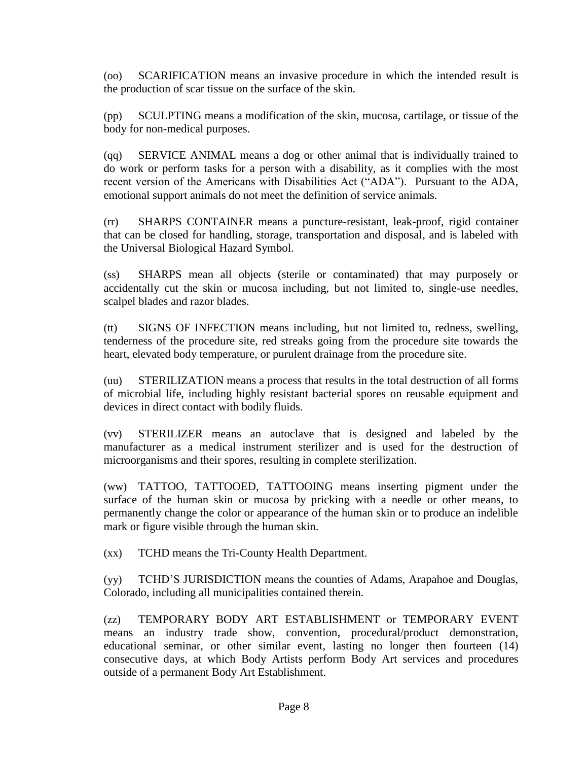(oo) SCARIFICATION means an invasive procedure in which the intended result is the production of scar tissue on the surface of the skin.

(pp) SCULPTING means a modification of the skin, mucosa, cartilage, or tissue of the body for non-medical purposes.

(qq) SERVICE ANIMAL means a dog or other animal that is individually trained to do work or perform tasks for a person with a disability, as it complies with the most recent version of the Americans with Disabilities Act ("ADA"). Pursuant to the ADA, emotional support animals do not meet the definition of service animals.

(rr) SHARPS CONTAINER means a puncture-resistant, leak-proof, rigid container that can be closed for handling, storage, transportation and disposal, and is labeled with the Universal Biological Hazard Symbol.

(ss) SHARPS mean all objects (sterile or contaminated) that may purposely or accidentally cut the skin or mucosa including, but not limited to, single-use needles, scalpel blades and razor blades.

(tt) SIGNS OF INFECTION means including, but not limited to, redness, swelling, tenderness of the procedure site, red streaks going from the procedure site towards the heart, elevated body temperature, or purulent drainage from the procedure site.

(uu) STERILIZATION means a process that results in the total destruction of all forms of microbial life, including highly resistant bacterial spores on reusable equipment and devices in direct contact with bodily fluids.

(vv) STERILIZER means an autoclave that is designed and labeled by the manufacturer as a medical instrument sterilizer and is used for the destruction of microorganisms and their spores, resulting in complete sterilization.

(ww) TATTOO, TATTOOED, TATTOOING means inserting pigment under the surface of the human skin or mucosa by pricking with a needle or other means, to permanently change the color or appearance of the human skin or to produce an indelible mark or figure visible through the human skin.

(xx) TCHD means the Tri-County Health Department.

(yy) TCHD'S JURISDICTION means the counties of Adams, Arapahoe and Douglas, Colorado, including all municipalities contained therein.

(zz) TEMPORARY BODY ART ESTABLISHMENT or TEMPORARY EVENT means an industry trade show, convention, procedural/product demonstration, educational seminar, or other similar event, lasting no longer then fourteen (14) consecutive days, at which Body Artists perform Body Art services and procedures outside of a permanent Body Art Establishment.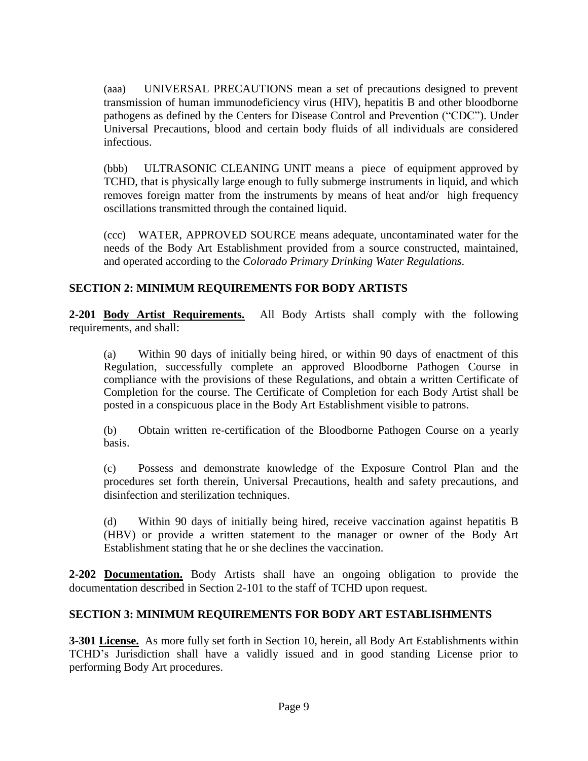(aaa) UNIVERSAL PRECAUTIONS mean a set of precautions designed to prevent transmission of human immunodeficiency virus (HIV), hepatitis B and other bloodborne pathogens as defined by the Centers for Disease Control and Prevention ("CDC"). Under Universal Precautions, blood and certain body fluids of all individuals are considered infectious.

(bbb) ULTRASONIC CLEANING UNIT means a piece of equipment approved by TCHD, that is physically large enough to fully submerge instruments in liquid, and which removes foreign matter from the instruments by means of heat and/or high frequency oscillations transmitted through the contained liquid.

(ccc) WATER, APPROVED SOURCE means adequate, uncontaminated water for the needs of the Body Art Establishment provided from a source constructed, maintained, and operated according to the *Colorado Primary Drinking Water Regulations.*

# <span id="page-9-0"></span>**SECTION 2: MINIMUM REQUIREMENTS FOR BODY ARTISTS**

<span id="page-9-1"></span>**2-201 Body Artist Requirements.** All Body Artists shall comply with the following requirements, and shall:

(a) Within 90 days of initially being hired, or within 90 days of enactment of this Regulation, successfully complete an approved Bloodborne Pathogen Course in compliance with the provisions of these Regulations, and obtain a written Certificate of Completion for the course. The Certificate of Completion for each Body Artist shall be posted in a conspicuous place in the Body Art Establishment visible to patrons.

(b) Obtain written re-certification of the Bloodborne Pathogen Course on a yearly basis.

(c) Possess and demonstrate knowledge of the Exposure Control Plan and the procedures set forth therein, Universal Precautions, health and safety precautions, and disinfection and sterilization techniques.

(d) Within 90 days of initially being hired, receive vaccination against hepatitis B (HBV) or provide a written statement to the manager or owner of the Body Art Establishment stating that he or she declines the vaccination.

<span id="page-9-2"></span>**2-202 Documentation.** Body Artists shall have an ongoing obligation to provide the documentation described in Section 2-101 to the staff of TCHD upon request.

# <span id="page-9-3"></span>**SECTION 3: MINIMUM REQUIREMENTS FOR BODY ART ESTABLISHMENTS**

<span id="page-9-4"></span>**3-301 License.** As more fully set forth in Section 10, herein, all Body Art Establishments within TCHD's Jurisdiction shall have a validly issued and in good standing License prior to performing Body Art procedures.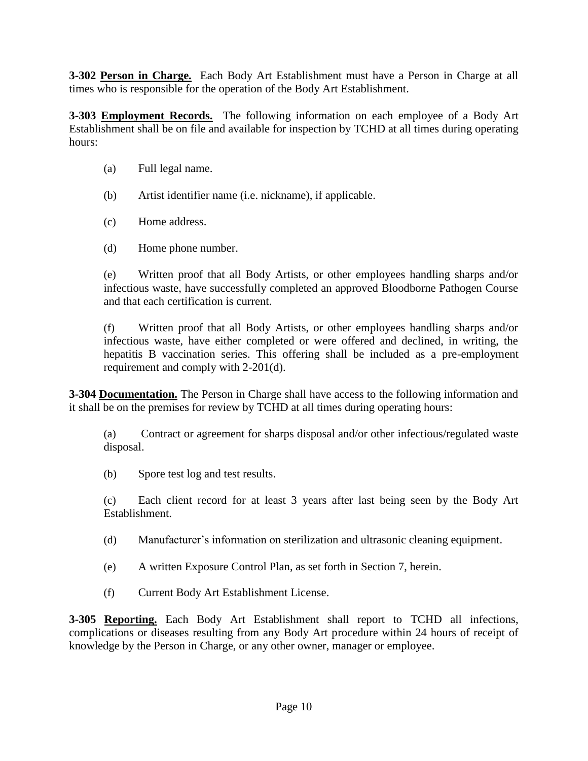<span id="page-10-0"></span>**3-302 Person in Charge.** Each Body Art Establishment must have a Person in Charge at all times who is responsible for the operation of the Body Art Establishment.

<span id="page-10-1"></span>**3-303 Employment Records.** The following information on each employee of a Body Art Establishment shall be on file and available for inspection by TCHD at all times during operating hours:

- (a) Full legal name.
- (b) Artist identifier name (i.e. nickname), if applicable.
- (c) Home address.
- (d) Home phone number.

(e) Written proof that all Body Artists, or other employees handling sharps and/or infectious waste, have successfully completed an approved Bloodborne Pathogen Course and that each certification is current.

(f) Written proof that all Body Artists, or other employees handling sharps and/or infectious waste, have either completed or were offered and declined, in writing, the hepatitis B vaccination series. This offering shall be included as a pre-employment requirement and comply with 2-201(d).

<span id="page-10-2"></span>**3-304 Documentation.** The Person in Charge shall have access to the following information and it shall be on the premises for review by TCHD at all times during operating hours:

(a) Contract or agreement for sharps disposal and/or other infectious/regulated waste disposal.

(b) Spore test log and test results.

(c) Each client record for at least 3 years after last being seen by the Body Art Establishment.

- (d) Manufacturer's information on sterilization and ultrasonic cleaning equipment.
- (e) A written Exposure Control Plan, as set forth in Section 7, herein.
- (f) Current Body Art Establishment License.

<span id="page-10-3"></span>**3-305 Reporting.** Each Body Art Establishment shall report to TCHD all infections, complications or diseases resulting from any Body Art procedure within 24 hours of receipt of knowledge by the Person in Charge, or any other owner, manager or employee.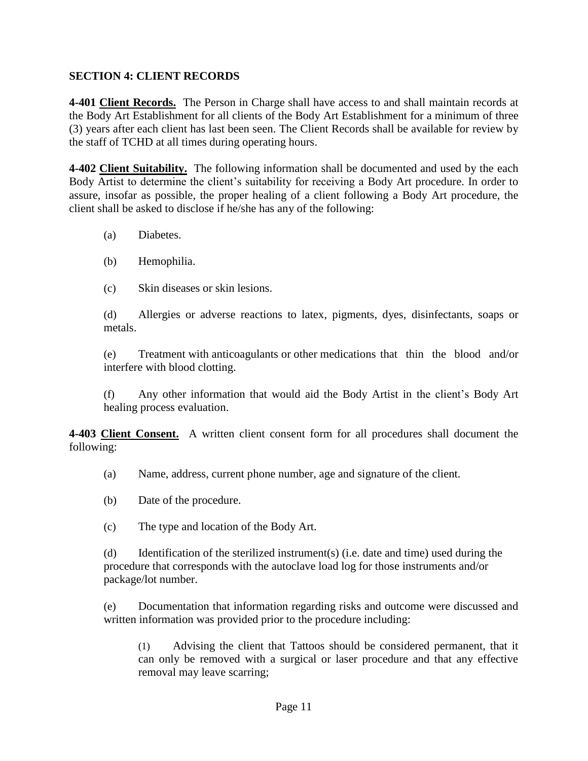# <span id="page-11-0"></span>**SECTION 4: CLIENT RECORDS**

<span id="page-11-1"></span>**4-401 Client Records.** The Person in Charge shall have access to and shall maintain records at the Body Art Establishment for all clients of the Body Art Establishment for a minimum of three (3) years after each client has last been seen. The Client Records shall be available for review by the staff of TCHD at all times during operating hours.

<span id="page-11-2"></span>**4-402 Client Suitability.** The following information shall be documented and used by the each Body Artist to determine the client's suitability for receiving a Body Art procedure. In order to assure, insofar as possible, the proper healing of a client following a Body Art procedure, the client shall be asked to disclose if he/she has any of the following:

- (a) Diabetes.
- (b) Hemophilia.
- (c) Skin diseases or skin lesions.

(d) Allergies or adverse reactions to latex, pigments, dyes, disinfectants, soaps or metals.

(e) Treatment with anticoagulants or other medications that thin the blood and/or interfere with blood clotting.

(f) Any other information that would aid the Body Artist in the client's Body Art healing process evaluation.

<span id="page-11-3"></span>**4-403 Client Consent.** A written client consent form for all procedures shall document the following:

- (a) Name, address, current phone number, age and signature of the client.
- (b) Date of the procedure.
- (c) The type and location of the Body Art.

(d) Identification of the sterilized instrument(s) (i.e. date and time) used during the procedure that corresponds with the autoclave load log for those instruments and/or package/lot number.

(e) Documentation that information regarding risks and outcome were discussed and written information was provided prior to the procedure including:

(1) Advising the client that Tattoos should be considered permanent, that it can only be removed with a surgical or laser procedure and that any effective removal may leave scarring;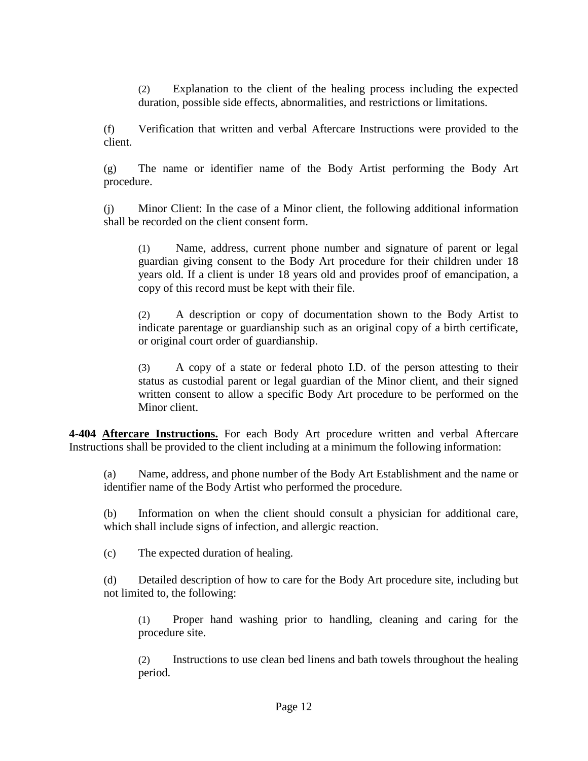(2) Explanation to the client of the healing process including the expected duration, possible side effects, abnormalities, and restrictions or limitations.

(f) Verification that written and verbal Aftercare Instructions were provided to the client.

(g) The name or identifier name of the Body Artist performing the Body Art procedure.

(j) Minor Client: In the case of a Minor client, the following additional information shall be recorded on the client consent form.

(1) Name, address, current phone number and signature of parent or legal guardian giving consent to the Body Art procedure for their children under 18 years old. If a client is under 18 years old and provides proof of emancipation, a copy of this record must be kept with their file.

(2) A description or copy of documentation shown to the Body Artist to indicate parentage or guardianship such as an original copy of a birth certificate, or original court order of guardianship.

(3) A copy of a state or federal photo I.D. of the person attesting to their status as custodial parent or legal guardian of the Minor client, and their signed written consent to allow a specific Body Art procedure to be performed on the Minor client.

<span id="page-12-0"></span>**4-404 Aftercare Instructions.** For each Body Art procedure written and verbal Aftercare Instructions shall be provided to the client including at a minimum the following information:

(a) Name, address, and phone number of the Body Art Establishment and the name or identifier name of the Body Artist who performed the procedure.

(b) Information on when the client should consult a physician for additional care, which shall include signs of infection, and allergic reaction.

(c) The expected duration of healing.

(d) Detailed description of how to care for the Body Art procedure site, including but not limited to, the following:

(1) Proper hand washing prior to handling, cleaning and caring for the procedure site.

(2) Instructions to use clean bed linens and bath towels throughout the healing period.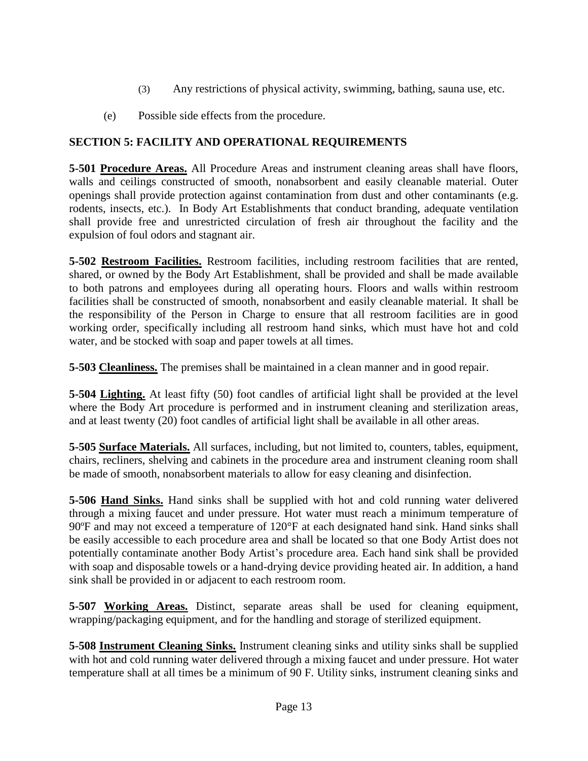- (3) Any restrictions of physical activity, swimming, bathing, sauna use, etc.
- (e) Possible side effects from the procedure.

# <span id="page-13-0"></span>**SECTION 5: FACILITY AND OPERATIONAL REQUIREMENTS**

<span id="page-13-1"></span>**5-501 Procedure Areas.** All Procedure Areas and instrument cleaning areas shall have floors, walls and ceilings constructed of smooth, nonabsorbent and easily cleanable material. Outer openings shall provide protection against contamination from dust and other contaminants (e.g. rodents, insects, etc.). In Body Art Establishments that conduct branding, adequate ventilation shall provide free and unrestricted circulation of fresh air throughout the facility and the expulsion of foul odors and stagnant air.

<span id="page-13-2"></span>**5-502 Restroom Facilities.** Restroom facilities, including restroom facilities that are rented, shared, or owned by the Body Art Establishment, shall be provided and shall be made available to both patrons and employees during all operating hours. Floors and walls within restroom facilities shall be constructed of smooth, nonabsorbent and easily cleanable material. It shall be the responsibility of the Person in Charge to ensure that all restroom facilities are in good working order, specifically including all restroom hand sinks, which must have hot and cold water, and be stocked with soap and paper towels at all times.

<span id="page-13-3"></span>**5-503 Cleanliness.** The premises shall be maintained in a clean manner and in good repair.

<span id="page-13-4"></span>**5-504 Lighting.** At least fifty (50) foot candles of artificial light shall be provided at the level where the Body Art procedure is performed and in instrument cleaning and sterilization areas, and at least twenty (20) foot candles of artificial light shall be available in all other areas.

<span id="page-13-5"></span>**5-505 Surface Materials.** All surfaces, including, but not limited to, counters, tables, equipment, chairs, recliners, shelving and cabinets in the procedure area and instrument cleaning room shall be made of smooth, nonabsorbent materials to allow for easy cleaning and disinfection.

<span id="page-13-6"></span>**5-506 Hand Sinks.** Hand sinks shall be supplied with hot and cold running water delivered through a mixing faucet and under pressure. Hot water must reach a minimum temperature of 90ºF and may not exceed a temperature of 120°F at each designated hand sink. Hand sinks shall be easily accessible to each procedure area and shall be located so that one Body Artist does not potentially contaminate another Body Artist's procedure area. Each hand sink shall be provided with soap and disposable towels or a hand-drying device providing heated air. In addition, a hand sink shall be provided in or adjacent to each restroom room.

<span id="page-13-7"></span>**5-507 Working Areas.** Distinct, separate areas shall be used for cleaning equipment, wrapping/packaging equipment, and for the handling and storage of sterilized equipment.

<span id="page-13-8"></span>**5-508 Instrument Cleaning Sinks.** Instrument cleaning sinks and utility sinks shall be supplied with hot and cold running water delivered through a mixing faucet and under pressure. Hot water temperature shall at all times be a minimum of 90 F. Utility sinks, instrument cleaning sinks and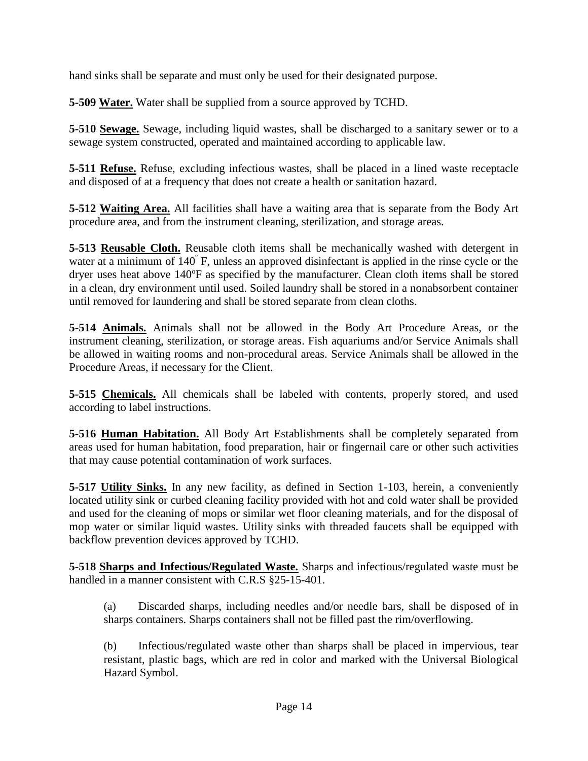hand sinks shall be separate and must only be used for their designated purpose.

<span id="page-14-0"></span>**5-509 Water.** Water shall be supplied from a source approved by TCHD.

<span id="page-14-1"></span>**5-510 Sewage.** Sewage, including liquid wastes, shall be discharged to a sanitary sewer or to a sewage system constructed, operated and maintained according to applicable law.

<span id="page-14-2"></span>**5-511 Refuse.** Refuse, excluding infectious wastes, shall be placed in a lined waste receptacle and disposed of at a frequency that does not create a health or sanitation hazard.

<span id="page-14-3"></span>**5-512 Waiting Area.** All facilities shall have a waiting area that is separate from the Body Art procedure area, and from the instrument cleaning, sterilization, and storage areas.

<span id="page-14-4"></span>**5-513 Reusable Cloth.** Reusable cloth items shall be mechanically washed with detergent in water at a minimum of 140°F, unless an approved disinfectant is applied in the rinse cycle or the dryer uses heat above 140ºF as specified by the manufacturer. Clean cloth items shall be stored in a clean, dry environment until used. Soiled laundry shall be stored in a nonabsorbent container until removed for laundering and shall be stored separate from clean cloths.

<span id="page-14-5"></span>**5-514 Animals.** Animals shall not be allowed in the Body Art Procedure Areas, or the instrument cleaning, sterilization, or storage areas. Fish aquariums and/or Service Animals shall be allowed in waiting rooms and non-procedural areas. Service Animals shall be allowed in the Procedure Areas, if necessary for the Client.

<span id="page-14-6"></span>**5-515 Chemicals.** All chemicals shall be labeled with contents, properly stored, and used according to label instructions.

<span id="page-14-7"></span>**5-516 Human Habitation.** All Body Art Establishments shall be completely separated from areas used for human habitation, food preparation, hair or fingernail care or other such activities that may cause potential contamination of work surfaces.

<span id="page-14-8"></span>**5-517 Utility Sinks.** In any new facility, as defined in Section 1-103, herein, a conveniently located utility sink or curbed cleaning facility provided with hot and cold water shall be provided and used for the cleaning of mops or similar wet floor cleaning materials, and for the disposal of mop water or similar liquid wastes. Utility sinks with threaded faucets shall be equipped with backflow prevention devices approved by TCHD.

<span id="page-14-9"></span>**5-518 Sharps and Infectious/Regulated Waste.** Sharps and infectious/regulated waste must be handled in a manner consistent with C.R.S §25-15-401.

(a) Discarded sharps, including needles and/or needle bars, shall be disposed of in sharps containers. Sharps containers shall not be filled past the rim/overflowing.

(b) Infectious/regulated waste other than sharps shall be placed in impervious, tear resistant, plastic bags, which are red in color and marked with the Universal Biological Hazard Symbol.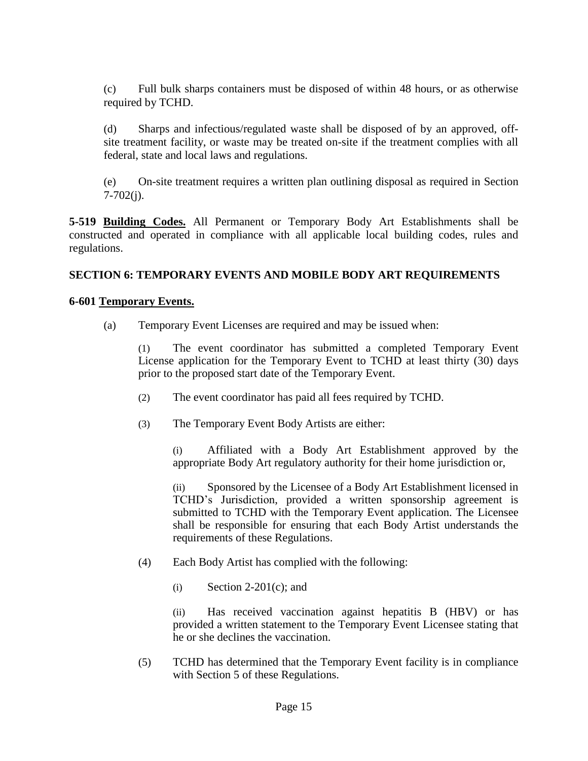(c) Full bulk sharps containers must be disposed of within 48 hours, or as otherwise required by TCHD.

(d) Sharps and infectious/regulated waste shall be disposed of by an approved, offsite treatment facility, or waste may be treated on-site if the treatment complies with all federal, state and local laws and regulations.

(e) On-site treatment requires a written plan outlining disposal as required in Section 7-702(j).

<span id="page-15-0"></span>**5-519 Building Codes.** All Permanent or Temporary Body Art Establishments shall be constructed and operated in compliance with all applicable local building codes, rules and regulations.

# <span id="page-15-1"></span>**SECTION 6: TEMPORARY EVENTS AND MOBILE BODY ART REQUIREMENTS**

#### <span id="page-15-2"></span>**6-601 Temporary Events.**

(a) Temporary Event Licenses are required and may be issued when:

(1) The event coordinator has submitted a completed Temporary Event License application for the Temporary Event to TCHD at least thirty (30) days prior to the proposed start date of the Temporary Event.

- (2) The event coordinator has paid all fees required by TCHD.
- (3) The Temporary Event Body Artists are either:

(i) Affiliated with a Body Art Establishment approved by the appropriate Body Art regulatory authority for their home jurisdiction or,

(ii) Sponsored by the Licensee of a Body Art Establishment licensed in TCHD's Jurisdiction, provided a written sponsorship agreement is submitted to TCHD with the Temporary Event application. The Licensee shall be responsible for ensuring that each Body Artist understands the requirements of these Regulations.

- (4) Each Body Artist has complied with the following:
	- (i) Section 2-201(c); and

(ii) Has received vaccination against hepatitis B (HBV) or has provided a written statement to the Temporary Event Licensee stating that he or she declines the vaccination.

(5) TCHD has determined that the Temporary Event facility is in compliance with Section 5 of these Regulations.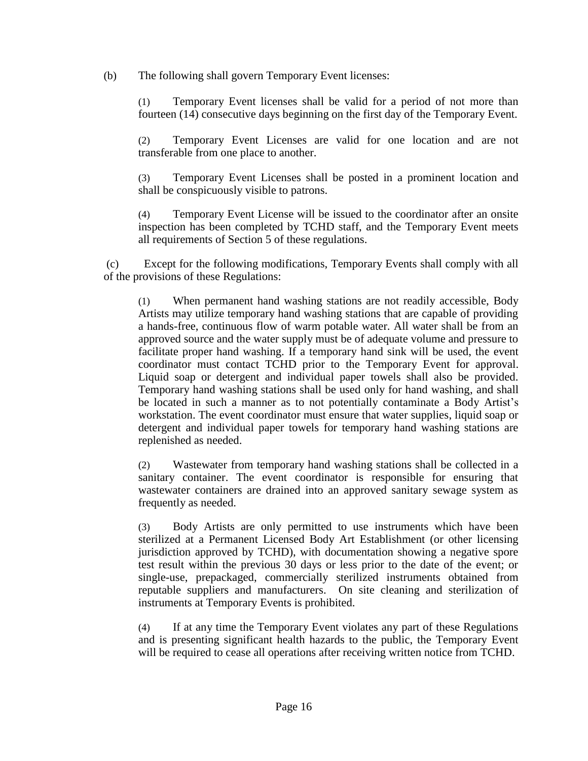(b) The following shall govern Temporary Event licenses:

(1) Temporary Event licenses shall be valid for a period of not more than fourteen (14) consecutive days beginning on the first day of the Temporary Event.

(2) Temporary Event Licenses are valid for one location and are not transferable from one place to another.

(3) Temporary Event Licenses shall be posted in a prominent location and shall be conspicuously visible to patrons.

(4) Temporary Event License will be issued to the coordinator after an onsite inspection has been completed by TCHD staff, and the Temporary Event meets all requirements of Section 5 of these regulations.

(c) Except for the following modifications, Temporary Events shall comply with all of the provisions of these Regulations:

(1) When permanent hand washing stations are not readily accessible, Body Artists may utilize temporary hand washing stations that are capable of providing a hands-free, continuous flow of warm potable water. All water shall be from an approved source and the water supply must be of adequate volume and pressure to facilitate proper hand washing. If a temporary hand sink will be used, the event coordinator must contact TCHD prior to the Temporary Event for approval. Liquid soap or detergent and individual paper towels shall also be provided. Temporary hand washing stations shall be used only for hand washing, and shall be located in such a manner as to not potentially contaminate a Body Artist's workstation. The event coordinator must ensure that water supplies, liquid soap or detergent and individual paper towels for temporary hand washing stations are replenished as needed.

(2) Wastewater from temporary hand washing stations shall be collected in a sanitary container. The event coordinator is responsible for ensuring that wastewater containers are drained into an approved sanitary sewage system as frequently as needed.

(3) Body Artists are only permitted to use instruments which have been sterilized at a Permanent Licensed Body Art Establishment (or other licensing jurisdiction approved by TCHD), with documentation showing a negative spore test result within the previous 30 days or less prior to the date of the event; or single-use, prepackaged, commercially sterilized instruments obtained from reputable suppliers and manufacturers. On site cleaning and sterilization of instruments at Temporary Events is prohibited.

(4) If at any time the Temporary Event violates any part of these Regulations and is presenting significant health hazards to the public, the Temporary Event will be required to cease all operations after receiving written notice from TCHD.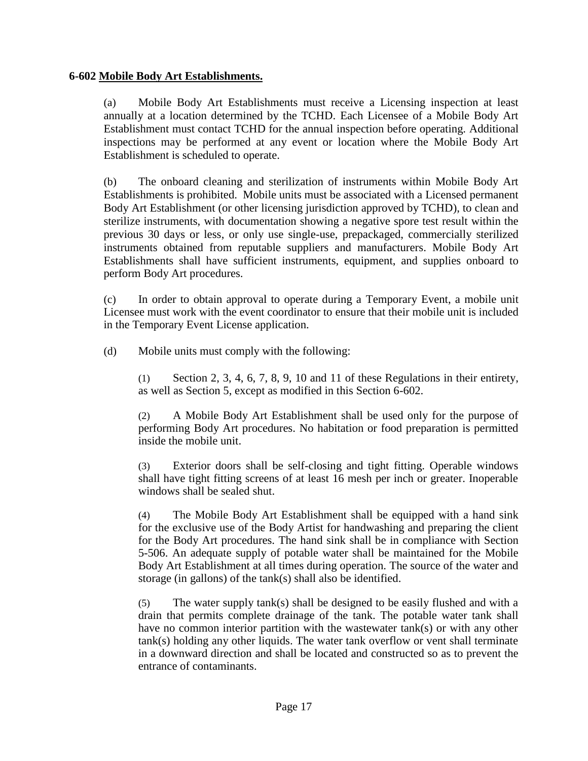#### <span id="page-17-0"></span>**6-602 Mobile Body Art Establishments.**

(a) Mobile Body Art Establishments must receive a Licensing inspection at least annually at a location determined by the TCHD. Each Licensee of a Mobile Body Art Establishment must contact TCHD for the annual inspection before operating. Additional inspections may be performed at any event or location where the Mobile Body Art Establishment is scheduled to operate.

(b) The onboard cleaning and sterilization of instruments within Mobile Body Art Establishments is prohibited. Mobile units must be associated with a Licensed permanent Body Art Establishment (or other licensing jurisdiction approved by TCHD), to clean and sterilize instruments, with documentation showing a negative spore test result within the previous 30 days or less, or only use single-use, prepackaged, commercially sterilized instruments obtained from reputable suppliers and manufacturers. Mobile Body Art Establishments shall have sufficient instruments, equipment, and supplies onboard to perform Body Art procedures.

(c) In order to obtain approval to operate during a Temporary Event, a mobile unit Licensee must work with the event coordinator to ensure that their mobile unit is included in the Temporary Event License application.

(d) Mobile units must comply with the following:

(1) Section 2, 3, 4, 6, 7, 8, 9, 10 and 11 of these Regulations in their entirety, as well as Section 5, except as modified in this Section 6-602.

(2) A Mobile Body Art Establishment shall be used only for the purpose of performing Body Art procedures. No habitation or food preparation is permitted inside the mobile unit.

(3) Exterior doors shall be self-closing and tight fitting. Operable windows shall have tight fitting screens of at least 16 mesh per inch or greater. Inoperable windows shall be sealed shut.

(4) The Mobile Body Art Establishment shall be equipped with a hand sink for the exclusive use of the Body Artist for handwashing and preparing the client for the Body Art procedures. The hand sink shall be in compliance with Section 5-506. An adequate supply of potable water shall be maintained for the Mobile Body Art Establishment at all times during operation. The source of the water and storage (in gallons) of the tank(s) shall also be identified.

(5) The water supply tank(s) shall be designed to be easily flushed and with a drain that permits complete drainage of the tank. The potable water tank shall have no common interior partition with the wastewater tank(s) or with any other tank(s) holding any other liquids. The water tank overflow or vent shall terminate in a downward direction and shall be located and constructed so as to prevent the entrance of contaminants.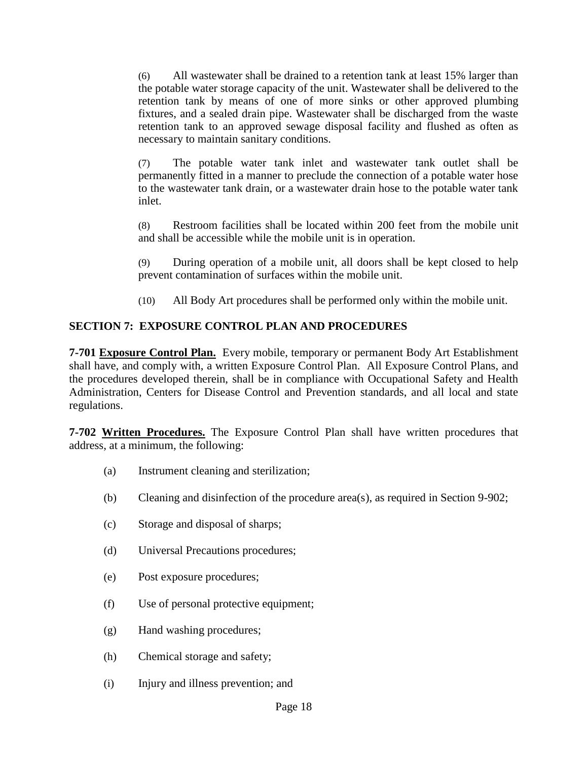(6) All wastewater shall be drained to a retention tank at least 15% larger than the potable water storage capacity of the unit. Wastewater shall be delivered to the retention tank by means of one of more sinks or other approved plumbing fixtures, and a sealed drain pipe. Wastewater shall be discharged from the waste retention tank to an approved sewage disposal facility and flushed as often as necessary to maintain sanitary conditions.

(7) The potable water tank inlet and wastewater tank outlet shall be permanently fitted in a manner to preclude the connection of a potable water hose to the wastewater tank drain, or a wastewater drain hose to the potable water tank inlet.

(8) Restroom facilities shall be located within 200 feet from the mobile unit and shall be accessible while the mobile unit is in operation.

(9) During operation of a mobile unit, all doors shall be kept closed to help prevent contamination of surfaces within the mobile unit.

(10) All Body Art procedures shall be performed only within the mobile unit.

# <span id="page-18-0"></span>**SECTION 7: EXPOSURE CONTROL PLAN AND PROCEDURES**

<span id="page-18-1"></span>**7-701 Exposure Control Plan.** Every mobile, temporary or permanent Body Art Establishment shall have, and comply with, a written Exposure Control Plan. All Exposure Control Plans, and the procedures developed therein, shall be in compliance with Occupational Safety and Health Administration, Centers for Disease Control and Prevention standards, and all local and state regulations.

<span id="page-18-2"></span>**7-702 Written Procedures.** The Exposure Control Plan shall have written procedures that address, at a minimum, the following:

- (a) Instrument cleaning and sterilization;
- (b) Cleaning and disinfection of the procedure area(s), as required in Section 9-902;
- (c) Storage and disposal of sharps;
- (d) Universal Precautions procedures;
- (e) Post exposure procedures;
- (f) Use of personal protective equipment;
- (g) Hand washing procedures;
- (h) Chemical storage and safety;
- (i) Injury and illness prevention; and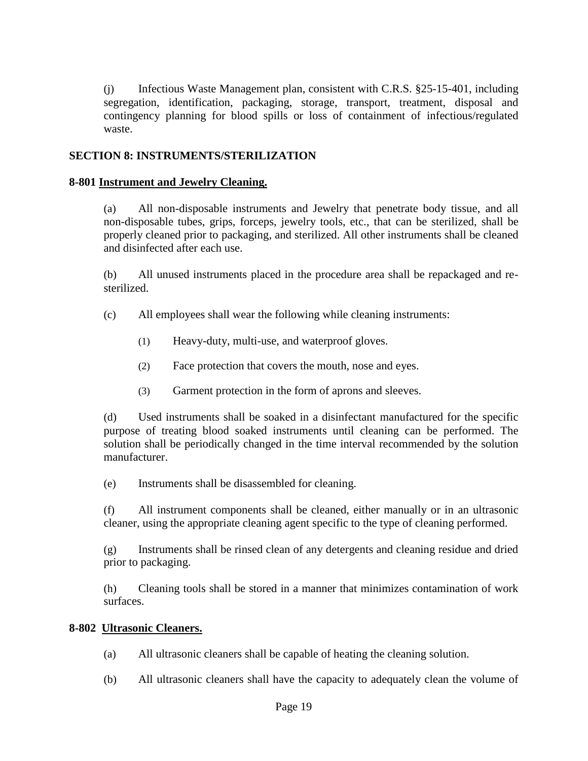(j) Infectious Waste Management plan, consistent with C.R.S. §25-15-401, including segregation, identification, packaging, storage, transport, treatment, disposal and contingency planning for blood spills or loss of containment of infectious/regulated waste.

# <span id="page-19-0"></span>**SECTION 8: INSTRUMENTS/STERILIZATION**

#### <span id="page-19-1"></span>**8-801 Instrument and Jewelry Cleaning.**

(a) All non-disposable instruments and Jewelry that penetrate body tissue, and all non-disposable tubes, grips, forceps, jewelry tools, etc., that can be sterilized, shall be properly cleaned prior to packaging, and sterilized. All other instruments shall be cleaned and disinfected after each use.

(b) All unused instruments placed in the procedure area shall be repackaged and resterilized.

- (c) All employees shall wear the following while cleaning instruments:
	- (1) Heavy-duty, multi-use, and waterproof gloves.
	- (2) Face protection that covers the mouth, nose and eyes.
	- (3) Garment protection in the form of aprons and sleeves.

(d) Used instruments shall be soaked in a disinfectant manufactured for the specific purpose of treating blood soaked instruments until cleaning can be performed. The solution shall be periodically changed in the time interval recommended by the solution manufacturer.

(e) Instruments shall be disassembled for cleaning.

(f) All instrument components shall be cleaned, either manually or in an ultrasonic cleaner, using the appropriate cleaning agent specific to the type of cleaning performed.

(g) Instruments shall be rinsed clean of any detergents and cleaning residue and dried prior to packaging.

(h) Cleaning tools shall be stored in a manner that minimizes contamination of work surfaces.

#### <span id="page-19-2"></span>**8-802 Ultrasonic Cleaners.**

- (a) All ultrasonic cleaners shall be capable of heating the cleaning solution.
- (b) All ultrasonic cleaners shall have the capacity to adequately clean the volume of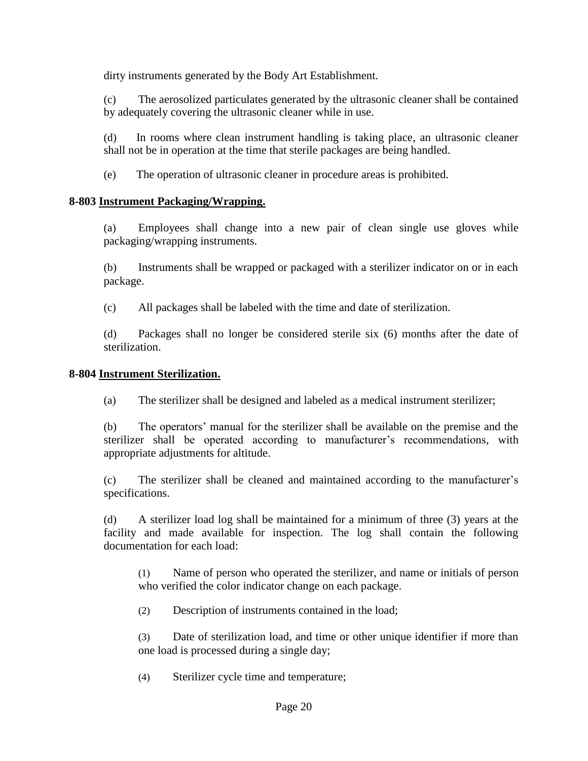dirty instruments generated by the Body Art Establishment.

(c) The aerosolized particulates generated by the ultrasonic cleaner shall be contained by adequately covering the ultrasonic cleaner while in use.

(d) In rooms where clean instrument handling is taking place, an ultrasonic cleaner shall not be in operation at the time that sterile packages are being handled.

(e) The operation of ultrasonic cleaner in procedure areas is prohibited.

#### <span id="page-20-0"></span>**8-803 Instrument Packaging/Wrapping.**

(a) Employees shall change into a new pair of clean single use gloves while packaging/wrapping instruments.

(b) Instruments shall be wrapped or packaged with a sterilizer indicator on or in each package.

(c) All packages shall be labeled with the time and date of sterilization.

(d) Packages shall no longer be considered sterile six (6) months after the date of sterilization.

#### <span id="page-20-1"></span>**8-804 Instrument Sterilization.**

(a) The sterilizer shall be designed and labeled as a medical instrument sterilizer;

(b) The operators' manual for the sterilizer shall be available on the premise and the sterilizer shall be operated according to manufacturer's recommendations, with appropriate adjustments for altitude.

(c) The sterilizer shall be cleaned and maintained according to the manufacturer's specifications.

(d) A sterilizer load log shall be maintained for a minimum of three (3) years at the facility and made available for inspection. The log shall contain the following documentation for each load:

(1) Name of person who operated the sterilizer, and name or initials of person who verified the color indicator change on each package.

(2) Description of instruments contained in the load;

(3) Date of sterilization load, and time or other unique identifier if more than one load is processed during a single day;

(4) Sterilizer cycle time and temperature;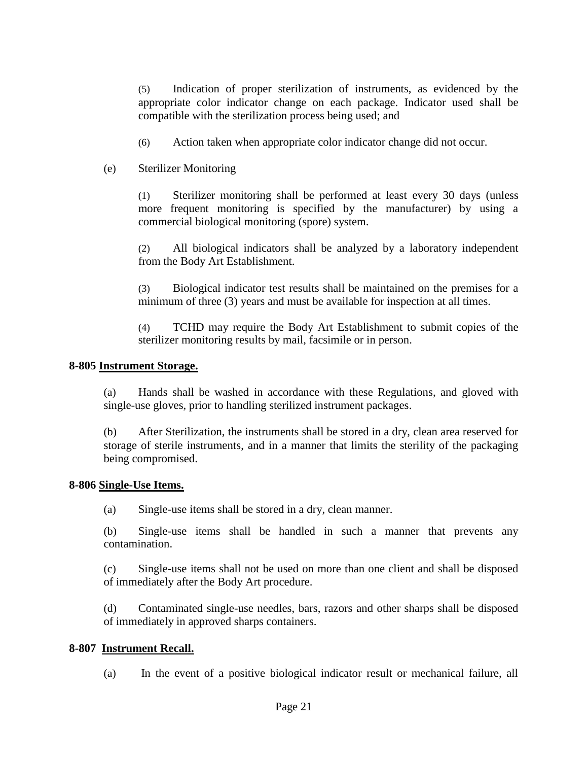(5) Indication of proper sterilization of instruments, as evidenced by the appropriate color indicator change on each package. Indicator used shall be compatible with the sterilization process being used; and

- (6) Action taken when appropriate color indicator change did not occur.
- (e) Sterilizer Monitoring

(1) Sterilizer monitoring shall be performed at least every 30 days (unless more frequent monitoring is specified by the manufacturer) by using a commercial biological monitoring (spore) system.

(2) All biological indicators shall be analyzed by a laboratory independent from the Body Art Establishment.

(3) Biological indicator test results shall be maintained on the premises for a minimum of three (3) years and must be available for inspection at all times.

(4) TCHD may require the Body Art Establishment to submit copies of the sterilizer monitoring results by mail, facsimile or in person.

#### <span id="page-21-0"></span>**8-805 Instrument Storage.**

(a) Hands shall be washed in accordance with these Regulations, and gloved with single-use gloves, prior to handling sterilized instrument packages.

(b) After Sterilization, the instruments shall be stored in a dry, clean area reserved for storage of sterile instruments, and in a manner that limits the sterility of the packaging being compromised.

#### <span id="page-21-1"></span>**8-806 Single-Use Items.**

(a) Single-use items shall be stored in a dry, clean manner.

(b) Single-use items shall be handled in such a manner that prevents any contamination.

(c) Single-use items shall not be used on more than one client and shall be disposed of immediately after the Body Art procedure.

(d) Contaminated single-use needles, bars, razors and other sharps shall be disposed of immediately in approved sharps containers.

#### <span id="page-21-2"></span>**8-807 Instrument Recall.**

(a) In the event of a positive biological indicator result or mechanical failure, all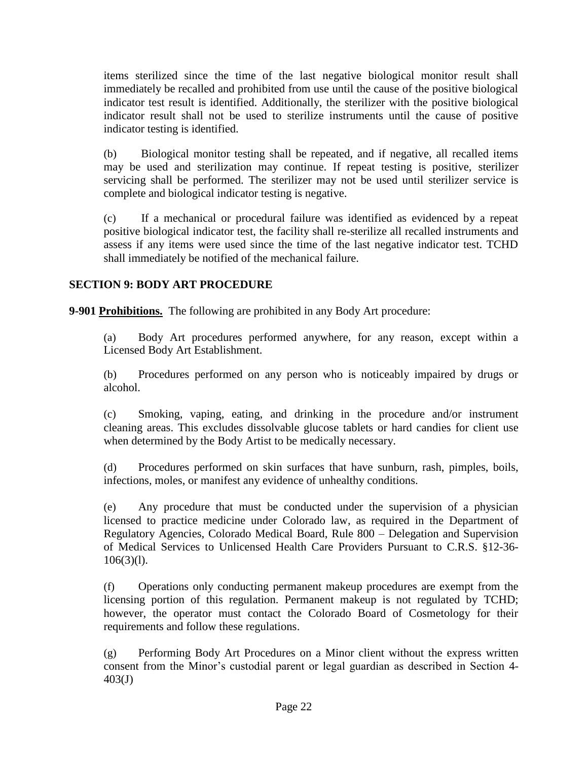items sterilized since the time of the last negative biological monitor result shall immediately be recalled and prohibited from use until the cause of the positive biological indicator test result is identified. Additionally, the sterilizer with the positive biological indicator result shall not be used to sterilize instruments until the cause of positive indicator testing is identified.

(b) Biological monitor testing shall be repeated, and if negative, all recalled items may be used and sterilization may continue. If repeat testing is positive, sterilizer servicing shall be performed. The sterilizer may not be used until sterilizer service is complete and biological indicator testing is negative.

(c) If a mechanical or procedural failure was identified as evidenced by a repeat positive biological indicator test, the facility shall re-sterilize all recalled instruments and assess if any items were used since the time of the last negative indicator test. TCHD shall immediately be notified of the mechanical failure.

# <span id="page-22-0"></span>**SECTION 9: BODY ART PROCEDURE**

<span id="page-22-1"></span>**9-901 Prohibitions.** The following are prohibited in any Body Art procedure:

(a) Body Art procedures performed anywhere, for any reason, except within a Licensed Body Art Establishment.

(b) Procedures performed on any person who is noticeably impaired by drugs or alcohol.

(c) Smoking, vaping, eating, and drinking in the procedure and/or instrument cleaning areas. This excludes dissolvable glucose tablets or hard candies for client use when determined by the Body Artist to be medically necessary.

(d) Procedures performed on skin surfaces that have sunburn, rash, pimples, boils, infections, moles, or manifest any evidence of unhealthy conditions.

(e) Any procedure that must be conducted under the supervision of a physician licensed to practice medicine under Colorado law, as required in the Department of Regulatory Agencies, Colorado Medical Board, Rule 800 – Delegation and Supervision of Medical Services to Unlicensed Health Care Providers Pursuant to C.R.S. §12-36-  $106(3)(l)$ .

(f) Operations only conducting permanent makeup procedures are exempt from the licensing portion of this regulation. Permanent makeup is not regulated by TCHD; however, the operator must contact the Colorado Board of Cosmetology for their requirements and follow these regulations.

(g) Performing Body Art Procedures on a Minor client without the express written consent from the Minor's custodial parent or legal guardian as described in Section 4- 403(J)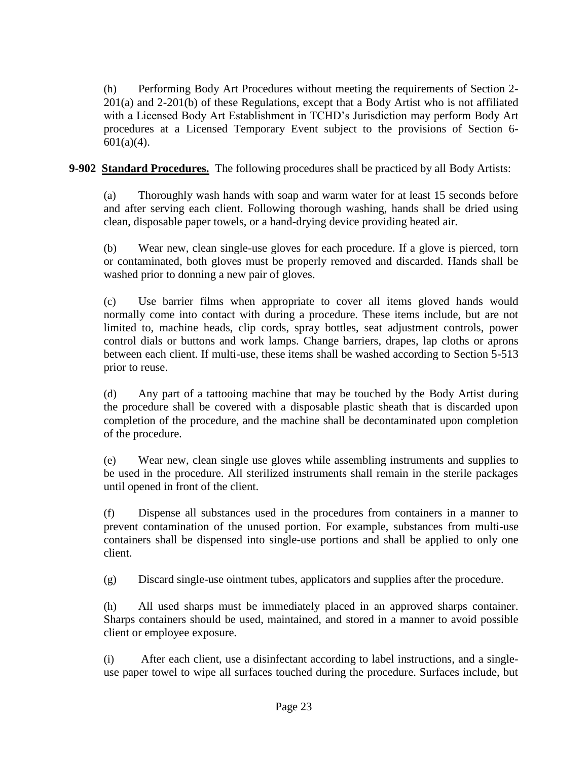(h) Performing Body Art Procedures without meeting the requirements of Section 2- 201(a) and 2-201(b) of these Regulations, except that a Body Artist who is not affiliated with a Licensed Body Art Establishment in TCHD's Jurisdiction may perform Body Art procedures at a Licensed Temporary Event subject to the provisions of Section 6-  $601(a)(4)$ .

<span id="page-23-0"></span>**9-902 Standard Procedures.** The following procedures shall be practiced by all Body Artists:

(a) Thoroughly wash hands with soap and warm water for at least 15 seconds before and after serving each client. Following thorough washing, hands shall be dried using clean, disposable paper towels, or a hand-drying device providing heated air.

(b) Wear new, clean single-use gloves for each procedure. If a glove is pierced, torn or contaminated, both gloves must be properly removed and discarded. Hands shall be washed prior to donning a new pair of gloves.

(c) Use barrier films when appropriate to cover all items gloved hands would normally come into contact with during a procedure. These items include, but are not limited to, machine heads, clip cords, spray bottles, seat adjustment controls, power control dials or buttons and work lamps. Change barriers, drapes, lap cloths or aprons between each client. If multi-use, these items shall be washed according to Section 5-513 prior to reuse.

(d) Any part of a tattooing machine that may be touched by the Body Artist during the procedure shall be covered with a disposable plastic sheath that is discarded upon completion of the procedure, and the machine shall be decontaminated upon completion of the procedure.

(e) Wear new, clean single use gloves while assembling instruments and supplies to be used in the procedure. All sterilized instruments shall remain in the sterile packages until opened in front of the client.

(f) Dispense all substances used in the procedures from containers in a manner to prevent contamination of the unused portion. For example, substances from multi-use containers shall be dispensed into single-use portions and shall be applied to only one client.

(g) Discard single-use ointment tubes, applicators and supplies after the procedure.

(h) All used sharps must be immediately placed in an approved sharps container. Sharps containers should be used, maintained, and stored in a manner to avoid possible client or employee exposure.

(i) After each client, use a disinfectant according to label instructions, and a singleuse paper towel to wipe all surfaces touched during the procedure. Surfaces include, but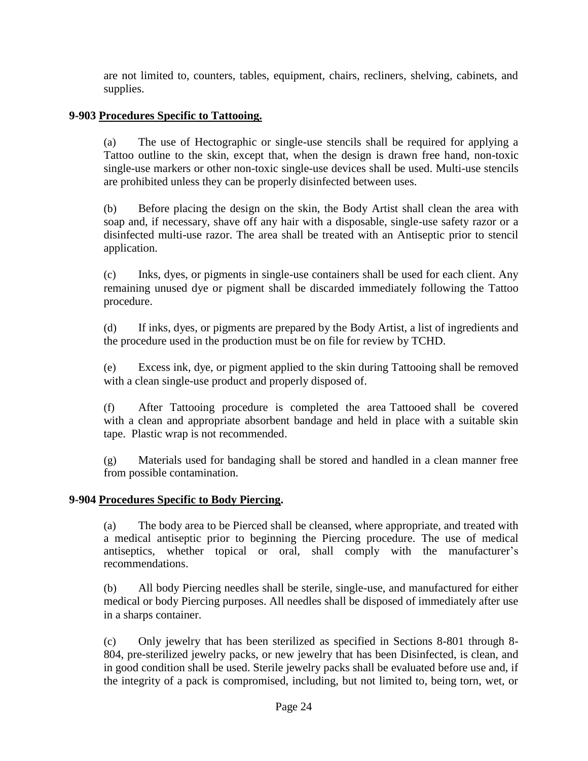are not limited to, counters, tables, equipment, chairs, recliners, shelving, cabinets, and supplies.

# <span id="page-24-0"></span>**9-903 Procedures Specific to Tattooing.**

(a) The use of Hectographic or single-use stencils shall be required for applying a Tattoo outline to the skin, except that, when the design is drawn free hand, non-toxic single-use markers or other non-toxic single-use devices shall be used. Multi-use stencils are prohibited unless they can be properly disinfected between uses.

(b) Before placing the design on the skin, the Body Artist shall clean the area with soap and, if necessary, shave off any hair with a disposable, single-use safety razor or a disinfected multi-use razor. The area shall be treated with an Antiseptic prior to stencil application.

(c) Inks, dyes, or pigments in single-use containers shall be used for each client. Any remaining unused dye or pigment shall be discarded immediately following the Tattoo procedure.

(d) If inks, dyes, or pigments are prepared by the Body Artist, a list of ingredients and the procedure used in the production must be on file for review by TCHD.

(e) Excess ink, dye, or pigment applied to the skin during Tattooing shall be removed with a clean single-use product and properly disposed of.

(f) After Tattooing procedure is completed the area Tattooed shall be covered with a clean and appropriate absorbent bandage and held in place with a suitable skin tape. Plastic wrap is not recommended.

(g) Materials used for bandaging shall be stored and handled in a clean manner free from possible contamination.

# <span id="page-24-1"></span>**9-904 Procedures Specific to Body Piercing.**

(a) The body area to be Pierced shall be cleansed, where appropriate, and treated with a medical antiseptic prior to beginning the Piercing procedure. The use of medical antiseptics, whether topical or oral, shall comply with the manufacturer's recommendations.

(b) All body Piercing needles shall be sterile, single-use, and manufactured for either medical or body Piercing purposes. All needles shall be disposed of immediately after use in a sharps container.

(c) Only jewelry that has been sterilized as specified in Sections 8-801 through 8- 804, pre-sterilized jewelry packs, or new jewelry that has been Disinfected, is clean, and in good condition shall be used. Sterile jewelry packs shall be evaluated before use and, if the integrity of a pack is compromised, including, but not limited to, being torn, wet, or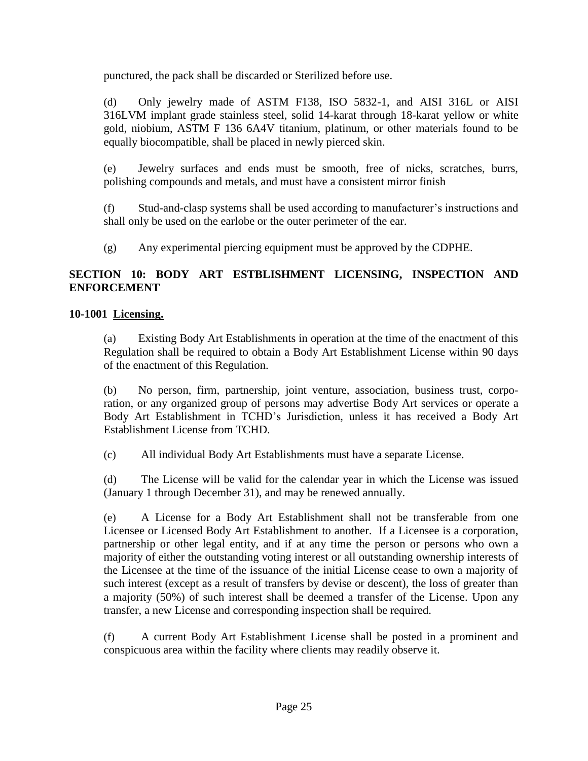punctured, the pack shall be discarded or Sterilized before use.

(d) Only jewelry made of ASTM F138, ISO 5832-1, and AISI 316L or AISI 316LVM implant grade stainless steel, solid 14-karat through 18-karat yellow or white gold, niobium, ASTM F 136 6A4V titanium, platinum, or other materials found to be equally biocompatible, shall be placed in newly pierced skin.

(e) Jewelry surfaces and ends must be smooth, free of nicks, scratches, burrs, polishing compounds and metals, and must have a consistent mirror finish

(f) Stud-and-clasp systems shall be used according to manufacturer's instructions and shall only be used on the earlobe or the outer perimeter of the ear.

(g) Any experimental piercing equipment must be approved by the CDPHE.

# <span id="page-25-0"></span>**SECTION 10: BODY ART ESTBLISHMENT LICENSING, INSPECTION AND ENFORCEMENT**

# <span id="page-25-1"></span>**10-1001 Licensing.**

(a) Existing Body Art Establishments in operation at the time of the enactment of this Regulation shall be required to obtain a Body Art Establishment License within 90 days of the enactment of this Regulation.

(b) No person, firm, partnership, joint venture, association, business trust, corporation, or any organized group of persons may advertise Body Art services or operate a Body Art Establishment in TCHD's Jurisdiction, unless it has received a Body Art Establishment License from TCHD.

(c) All individual Body Art Establishments must have a separate License.

(d) The License will be valid for the calendar year in which the License was issued (January 1 through December 31), and may be renewed annually.

(e) A License for a Body Art Establishment shall not be transferable from one Licensee or Licensed Body Art Establishment to another. If a Licensee is a corporation, partnership or other legal entity, and if at any time the person or persons who own a majority of either the outstanding voting interest or all outstanding ownership interests of the Licensee at the time of the issuance of the initial License cease to own a majority of such interest (except as a result of transfers by devise or descent), the loss of greater than a majority (50%) of such interest shall be deemed a transfer of the License. Upon any transfer, a new License and corresponding inspection shall be required.

(f) A current Body Art Establishment License shall be posted in a prominent and conspicuous area within the facility where clients may readily observe it.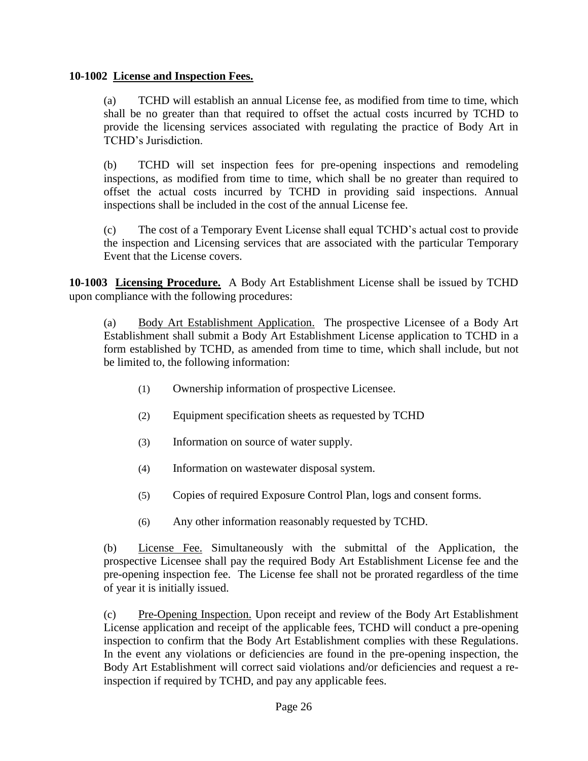# <span id="page-26-0"></span>**10-1002 License and Inspection Fees.**

(a) TCHD will establish an annual License fee, as modified from time to time, which shall be no greater than that required to offset the actual costs incurred by TCHD to provide the licensing services associated with regulating the practice of Body Art in TCHD's Jurisdiction.

(b) TCHD will set inspection fees for pre-opening inspections and remodeling inspections, as modified from time to time, which shall be no greater than required to offset the actual costs incurred by TCHD in providing said inspections. Annual inspections shall be included in the cost of the annual License fee.

(c) The cost of a Temporary Event License shall equal TCHD's actual cost to provide the inspection and Licensing services that are associated with the particular Temporary Event that the License covers.

<span id="page-26-1"></span>**10-1003 Licensing Procedure.** A Body Art Establishment License shall be issued by TCHD upon compliance with the following procedures:

(a) Body Art Establishment Application. The prospective Licensee of a Body Art Establishment shall submit a Body Art Establishment License application to TCHD in a form established by TCHD, as amended from time to time, which shall include, but not be limited to, the following information:

- (1) Ownership information of prospective Licensee.
- (2) Equipment specification sheets as requested by TCHD
- (3) Information on source of water supply.
- (4) Information on wastewater disposal system.
- (5) Copies of required Exposure Control Plan, logs and consent forms.
- (6) Any other information reasonably requested by TCHD.

(b) License Fee. Simultaneously with the submittal of the Application, the prospective Licensee shall pay the required Body Art Establishment License fee and the pre-opening inspection fee. The License fee shall not be prorated regardless of the time of year it is initially issued.

(c) Pre-Opening Inspection. Upon receipt and review of the Body Art Establishment License application and receipt of the applicable fees, TCHD will conduct a pre-opening inspection to confirm that the Body Art Establishment complies with these Regulations. In the event any violations or deficiencies are found in the pre-opening inspection, the Body Art Establishment will correct said violations and/or deficiencies and request a reinspection if required by TCHD, and pay any applicable fees.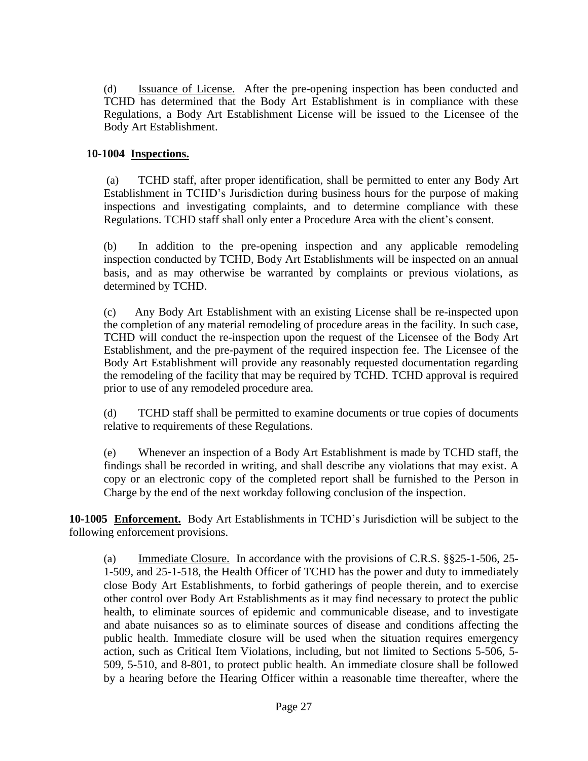(d) Issuance of License. After the pre-opening inspection has been conducted and TCHD has determined that the Body Art Establishment is in compliance with these Regulations, a Body Art Establishment License will be issued to the Licensee of the Body Art Establishment.

# <span id="page-27-0"></span>**10-1004 Inspections.**

(a) TCHD staff, after proper identification, shall be permitted to enter any Body Art Establishment in TCHD's Jurisdiction during business hours for the purpose of making inspections and investigating complaints, and to determine compliance with these Regulations. TCHD staff shall only enter a Procedure Area with the client's consent.

(b) In addition to the pre-opening inspection and any applicable remodeling inspection conducted by TCHD, Body Art Establishments will be inspected on an annual basis, and as may otherwise be warranted by complaints or previous violations, as determined by TCHD.

(c) Any Body Art Establishment with an existing License shall be re-inspected upon the completion of any material remodeling of procedure areas in the facility. In such case, TCHD will conduct the re-inspection upon the request of the Licensee of the Body Art Establishment, and the pre-payment of the required inspection fee. The Licensee of the Body Art Establishment will provide any reasonably requested documentation regarding the remodeling of the facility that may be required by TCHD. TCHD approval is required prior to use of any remodeled procedure area.

(d) TCHD staff shall be permitted to examine documents or true copies of documents relative to requirements of these Regulations.

(e) Whenever an inspection of a Body Art Establishment is made by TCHD staff, the findings shall be recorded in writing, and shall describe any violations that may exist. A copy or an electronic copy of the completed report shall be furnished to the Person in Charge by the end of the next workday following conclusion of the inspection.

<span id="page-27-1"></span>**10-1005 Enforcement.** Body Art Establishments in TCHD's Jurisdiction will be subject to the following enforcement provisions.

(a) Immediate Closure. In accordance with the provisions of C.R.S. §§25-1-506, 25- 1-509, and 25-1-518, the Health Officer of TCHD has the power and duty to immediately close Body Art Establishments, to forbid gatherings of people therein, and to exercise other control over Body Art Establishments as it may find necessary to protect the public health, to eliminate sources of epidemic and communicable disease, and to investigate and abate nuisances so as to eliminate sources of disease and conditions affecting the public health. Immediate closure will be used when the situation requires emergency action, such as Critical Item Violations, including, but not limited to Sections 5-506, 5- 509, 5-510, and 8-801, to protect public health. An immediate closure shall be followed by a hearing before the Hearing Officer within a reasonable time thereafter, where the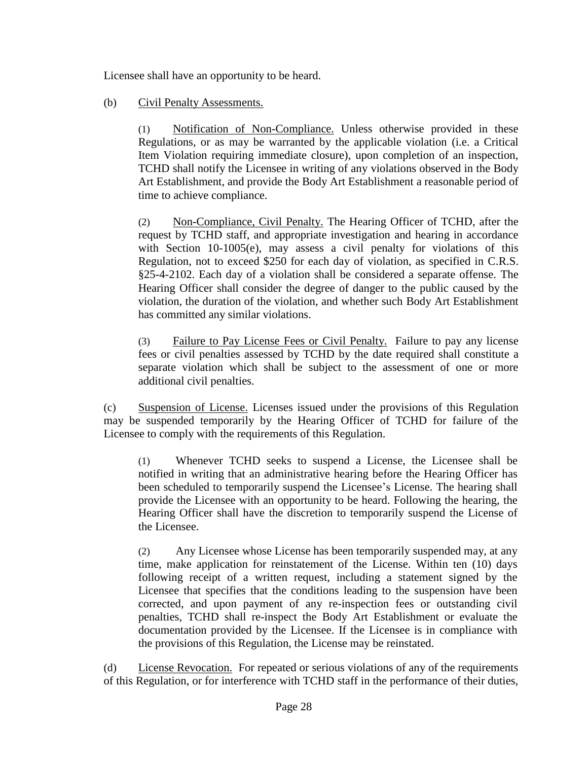Licensee shall have an opportunity to be heard.

# (b) Civil Penalty Assessments.

(1) Notification of Non-Compliance. Unless otherwise provided in these Regulations, or as may be warranted by the applicable violation (i.e. a Critical Item Violation requiring immediate closure), upon completion of an inspection, TCHD shall notify the Licensee in writing of any violations observed in the Body Art Establishment, and provide the Body Art Establishment a reasonable period of time to achieve compliance.

(2) Non-Compliance, Civil Penalty. The Hearing Officer of TCHD, after the request by TCHD staff, and appropriate investigation and hearing in accordance with Section 10-1005(e), may assess a civil penalty for violations of this Regulation, not to exceed \$250 for each day of violation, as specified in C.R.S. §25-4-2102. Each day of a violation shall be considered a separate offense. The Hearing Officer shall consider the degree of danger to the public caused by the violation, the duration of the violation, and whether such Body Art Establishment has committed any similar violations.

(3) Failure to Pay License Fees or Civil Penalty. Failure to pay any license fees or civil penalties assessed by TCHD by the date required shall constitute a separate violation which shall be subject to the assessment of one or more additional civil penalties.

(c) Suspension of License. Licenses issued under the provisions of this Regulation may be suspended temporarily by the Hearing Officer of TCHD for failure of the Licensee to comply with the requirements of this Regulation.

(1) Whenever TCHD seeks to suspend a License, the Licensee shall be notified in writing that an administrative hearing before the Hearing Officer has been scheduled to temporarily suspend the Licensee's License. The hearing shall provide the Licensee with an opportunity to be heard. Following the hearing, the Hearing Officer shall have the discretion to temporarily suspend the License of the Licensee.

(2) Any Licensee whose License has been temporarily suspended may, at any time, make application for reinstatement of the License. Within ten (10) days following receipt of a written request, including a statement signed by the Licensee that specifies that the conditions leading to the suspension have been corrected, and upon payment of any re-inspection fees or outstanding civil penalties, TCHD shall re-inspect the Body Art Establishment or evaluate the documentation provided by the Licensee. If the Licensee is in compliance with the provisions of this Regulation, the License may be reinstated.

(d) License Revocation. For repeated or serious violations of any of the requirements of this Regulation, or for interference with TCHD staff in the performance of their duties,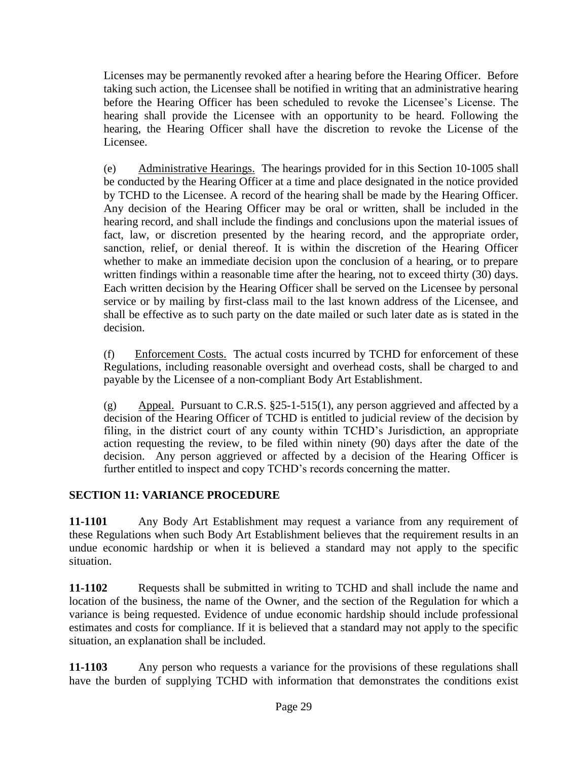Licenses may be permanently revoked after a hearing before the Hearing Officer. Before taking such action, the Licensee shall be notified in writing that an administrative hearing before the Hearing Officer has been scheduled to revoke the Licensee's License. The hearing shall provide the Licensee with an opportunity to be heard. Following the hearing, the Hearing Officer shall have the discretion to revoke the License of the Licensee.

(e) Administrative Hearings. The hearings provided for in this Section 10-1005 shall be conducted by the Hearing Officer at a time and place designated in the notice provided by TCHD to the Licensee. A record of the hearing shall be made by the Hearing Officer. Any decision of the Hearing Officer may be oral or written, shall be included in the hearing record, and shall include the findings and conclusions upon the material issues of fact, law, or discretion presented by the hearing record, and the appropriate order, sanction, relief, or denial thereof. It is within the discretion of the Hearing Officer whether to make an immediate decision upon the conclusion of a hearing, or to prepare written findings within a reasonable time after the hearing, not to exceed thirty (30) days. Each written decision by the Hearing Officer shall be served on the Licensee by personal service or by mailing by first-class mail to the last known address of the Licensee, and shall be effective as to such party on the date mailed or such later date as is stated in the decision.

(f) Enforcement Costs. The actual costs incurred by TCHD for enforcement of these Regulations, including reasonable oversight and overhead costs, shall be charged to and payable by the Licensee of a non-compliant Body Art Establishment.

(g) Appeal. Pursuant to C.R.S.  $\S 25$ -1-515(1), any person aggrieved and affected by a decision of the Hearing Officer of TCHD is entitled to judicial review of the decision by filing, in the district court of any county within TCHD's Jurisdiction, an appropriate action requesting the review, to be filed within ninety (90) days after the date of the decision. Any person aggrieved or affected by a decision of the Hearing Officer is further entitled to inspect and copy TCHD's records concerning the matter.

# <span id="page-29-0"></span>**SECTION 11: VARIANCE PROCEDURE**

**11-1101** Any Body Art Establishment may request a variance from any requirement of these Regulations when such Body Art Establishment believes that the requirement results in an undue economic hardship or when it is believed a standard may not apply to the specific situation.

**11-1102** Requests shall be submitted in writing to TCHD and shall include the name and location of the business, the name of the Owner, and the section of the Regulation for which a variance is being requested. Evidence of undue economic hardship should include professional estimates and costs for compliance. If it is believed that a standard may not apply to the specific situation, an explanation shall be included.

**11-1103** Any person who requests a variance for the provisions of these regulations shall have the burden of supplying TCHD with information that demonstrates the conditions exist